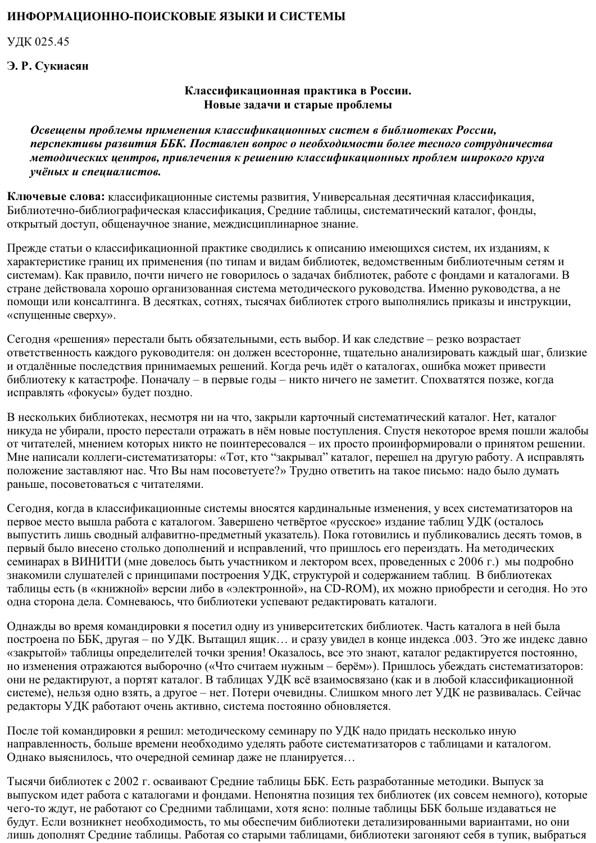## ИНФОРМАЦИОННО-ПОИСКОВЫЕ ЯЗЫКИ И СИСТЕМЫ

УДК 025.45

## Э. Р. Сукиасян

## Классификационная практика в России. Новые задачи и старые проблемы

Освещены проблемы применения классификационных систем в библиотеках России, перспективы развития ББК. Поставлен вопрос о необходимости более тесного сотрудничества методических центров, привлечения к решению классификационных проблем широкого круга учёных и специалистов.

Ключевые слова: классификационные системы развития, Универсальная десятичная классификация, Библиотечно-библиографическая классификация, Средние таблицы, систематический каталог, фонды, открытый доступ, общенаучное знание, междисциплинарное знание.

Прежде статьи о классификационной практике сводились к описанию имеющихся систем, их изданиям, к характеристике границ их применения (по типам и видам библиотек, ведомственным библиотечным сетям и системам). Как правило, почти ничего не говорилось о задачах библиотек, работе с фондами и каталогами. В стране действовала хорошо организованная система методического руководства. Именно руководства, а не помощи или консалтинга. В десятках, сотнях, тысячах библиотек строго выполнялись приказы и инструкции, «спущенные сверху».

Сегодня «решения» перестали быть обязательными, есть выбор. И как следствие - резко возрастает ответственность каждого руководителя: он должен всесторонне, тщательно анализировать каждый шаг, близкие и отдалённые последствия принимаемых решений. Когда речь идёт о каталогах, ошибка может привести библиотеку к катастрофе. Поначалу – в первые годы – никто ничего не заметит. Спохватятся позже, когда исправлять «фокусы» будет поздно.

В нескольких библиотеках, несмотря ни на что, закрыли карточный систематический каталог. Нет, каталог никуда не убирали, просто перестали отражать в нём новые поступления. Спустя некоторое время пошли жалобы от читателей, мнением которых никто не поинтересовался – их просто проинформировали о принятом решении. Мне написали коллеги-систематизаторы: «Тот, кто "закрывал" каталог, перешел на другую работу. А исправлять положение заставляют нас. Что Вы нам посоветуете?» Трудно ответить на такое письмо: надо было думать раньше, посоветоваться с читателями.

Сегодня, когда в классификационные системы вносятся кардинальные изменения, у всех систематизаторов на первое место вышла работа с каталогом. Завершено четвёртое «русское» издание таблиц УДК (осталось выпустить лишь сводный алфавитно-предметный указатель). Пока готовились и публиковались десять томов, в первый было внесено столько дополнений и исправлений, что пришлось его переиздать. На методических семинарах в ВИНИТИ (мне довелось быть участником и лектором всех, проведенных с 2006 г.) мы подробно знакомили слушателей с принципами построения УДК, структурой и содержанием таблиц. В библиотеках таблицы есть (в «книжной» версии либо в «электронной», на CD-ROM), их можно приобрести и сегодня. Но это одна сторона дела. Сомневаюсь, что библиотеки успевают редактировать каталоги.

Однажды во время командировки я посетил одну из университетских библиотек. Часть каталога в ней была построена по ББК, другая – по УДК. Вытащил ящик... и сразу увидел в конце индекса .003. Это же индекс давно «закрытой» таблицы определителей точки зрения! Оказалось, все это знают, каталог редактируется постоянно, но изменения отражаются выборочно («Что считаем нужным – берём»). Пришлось убеждать систематизаторов: они не редактируют, а портят каталог. В таблицах УДК всё взаимосвязано (как и в любой классификационной системе), нельзя одно взять, а другое - нет. Потери очевидны. Слишком много лет УДК не развивалась. Сейчас редакторы УДК работают очень активно, система постоянно обновляется.

После той командировки я решил: методическому семинару по УДК надо придать несколько иную направленность, больше времени необходимо уделять работе систематизаторов с таблицами и каталогом. Однако выяснилось, что очередной семинар даже не планируется...

Тысячи библиотек с 2002 г. осваивают Средние таблицы ББК. Есть разработанные методики. Выпуск за выпуском идет работа с каталогами и фондами. Непонятна позиция тех библиотек (их совсем немного), которые чего-то ждут, не работают со Средними таблицами, хотя ясно: полные таблицы ББК больше издаваться не будут. Если возникнет необходимость, то мы обеспечим библиотеки детализированными вариантами, но они лишь дополнят Средние таблицы. Работая со старыми таблицами, библиотеки загоняют себя в тупик, выбраться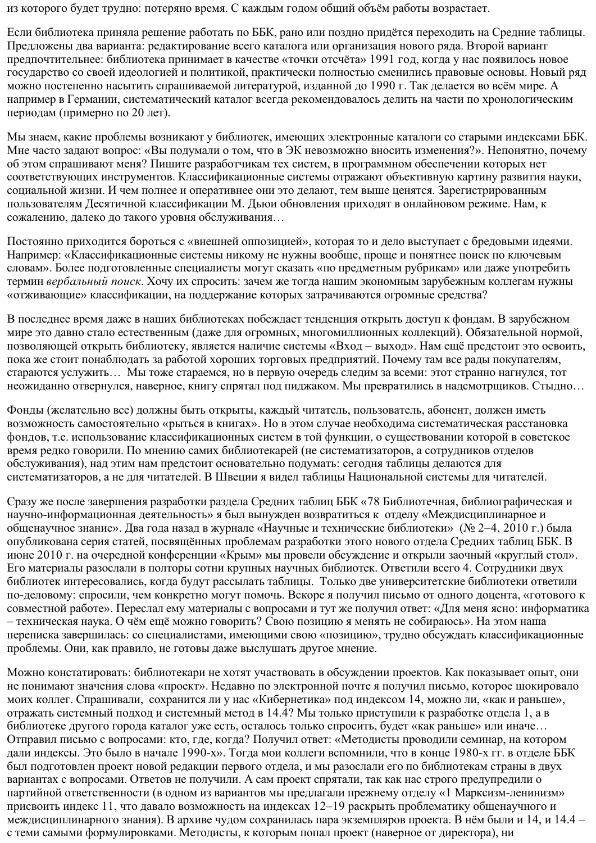из которого будет трудно: потеряно время. С каждым годом общий объём работы возрастает.

Если библиотека приняла решение работать по ББК, рано или поздно придётся переходить на Средние таблицы. Предложены два варианта: редактирование всего каталога или организация нового ряда. Второй вариант предпочтительнее: библиотека принимает в качестве «точки отсчёта» 1991 год, когда у нас появилось новое государство со своей идеологией и политикой, практически полностью сменились правовые основы. Новый ряд можно постепенно насытить спрашиваемой литературой, изданной до 1990 г. Так делается во всём мире. А например в Германии, систематический каталог всегда рекомендовалось делить на части по хронологическим периодам (примерно по 20 лет).

Мы знаем, какие проблемы возникают у библиотек, имеющих электронные каталоги со старыми индексами ББК. Мне часто задают вопрос: «Вы подумали о том, что в ЭК невозможно вносить изменения?». Непонятно, почему об этом спрашивают меня? Пишите разработчикам тех систем, в программном обеспечении которых нет соответствующих инструментов. Классификационные системы отражают объективную картину развития науки, социальной жизни. И чем полнее и оперативнее они это делают, тем выше ценятся. Зарегистрированным пользователям Десятичной классификации М. Дьюи обновления приходят в онлайновом режиме. Нам, к сожалению, далеко до такого уровня обслуживания...

Постоянно приходится бороться с «внешней оппозицией», которая то и дело выступает с бредовыми идеями. Например: «Классификационные системы никому не нужны вообще, проще и понятнее поиск по ключевым словам». Более подготовленные специалисты могут сказать «по предметным рубрикам» или даже употребить термин вербальный поиск. Хочу их спросить: зачем же тогда нашим экономным зарубежным коллегам нужны «отживающие» классификации, на поддержание которых затрачиваются огромные средства?

В последнее время даже в наших библиотеках побеждает тенденция открыть доступ к фондам. В зарубежном мире это давно стало естественным (даже для огромных, многомиллионных коллекций). Обязательной нормой, позволяющей открыть библиотеку, является наличие системы «Вход - выход». Нам ещё предстоит это освоить, пока же стоит понаблюдать за работой хороших торговых предприятий. Почему там все рады покупателям, стараются услужить... Мы тоже стараемся, но в первую очередь следим за всеми: этот странно нагнулся, тот неожиданно отвернулся, наверное, книгу спрятал под пиджаком. Мы превратились в надсмотрщиков. Стыдно...

Фонды (желательно все) должны быть открыты, каждый читатель, пользователь, абонент, должен иметь возможность самостоятельно «рыться в книгах». Но в этом случае необходима систематическая расстановка фондов, т.е. использование классификационных систем в той функции, о существовании которой в советское время редко говорили. По мнению самих библиотекарей (не систематизаторов, а сотрудников отделов обслуживания), над этим нам предстоит основательно подумать: сегодня таблицы делаются для систематизаторов, а не для читателей. В Швеции я видел таблицы Национальной системы для читателей.

Сразу же после завершения разработки раздела Средних таблиц ББК «78 Библиотечная, библиографическая и научно-информационная деятельность» я был вынужден возвратиться к отделу «Междисциплинарное и общенаучное знание». Два года назад в журнале «Научные и технические библиотеки» (№ 2-4, 2010 г.) была опубликована серия статей, посвящённых проблемам разработки этого нового отдела Средних таблиц ББК. В июне 2010 г. на очередной конференции «Крым» мы провели обсуждение и открыли заочный «круглый стол». Его материалы разослали в полторы сотни крупных научных библиотек. Ответили всего 4. Сотрудники двух библиотек интересовались, когда будут рассылать таблицы. Только две университетские библиотеки ответили по-деловому: спросили, чем конкретно могут помочь. Вскоре я получил письмо от одного доцента, «готового к совместной работе». Переслал ему материалы с вопросами и тут же получил ответ: «Для меня ясно: информатика - техническая наука. О чём ещё можно говорить? Свою позицию я менять не собираюсь». На этом наша переписка завершилась: со специалистами, имеющими свою «позицию», трудно обсуждать классификационные проблемы. Они, как правило, не готовы даже выслушать другое мнение.

Можно констатировать: библиотекари не хотят участвовать в обсуждении проектов. Как показывает опыт, они не понимают значения слова «проект». Недавно по электронной почте я получил письмо, которое шокировало моих коллег. Спрашивали, сохранится ли у нас «Кибернетика» под индексом 14, можно ли, «как и раньше», отражать системный подход и системный метод в 14.4? Мы только приступили к разработке отдела 1, а в библиотеке другого города каталог уже есть, осталось только спросить, будет «как раньше» или иначе... Отправил письмо с вопросами: кто, где, когда? Получил ответ: «Методисты проводили семинар, на котором дали индексы. Это было в начале 1990-х». Тогда мои коллеги вспомнили, что в конце 1980-х гг. в отделе ББК был подготовлен проект новой редакции первого отдела, и мы разослали его по библиотекам страны в двух вариантах с вопросами. Ответов не получили. А сам проект спрятали, так как нас строго предупредили о партийной ответственности (в одном из вариантов мы предлагали прежнему отделу «1 Марксизм-ленинизм» присвоить индекс 11, что давало возможность на индексах 12-19 раскрыть проблематику общенаучного и междисциплинарного знания). В архиве чудом сохранилась пара экземпляров проекта. В нём были и 14, и 14.4 с теми самыми формулировками. Методисты, к которым попал проект (наверное от директора), ни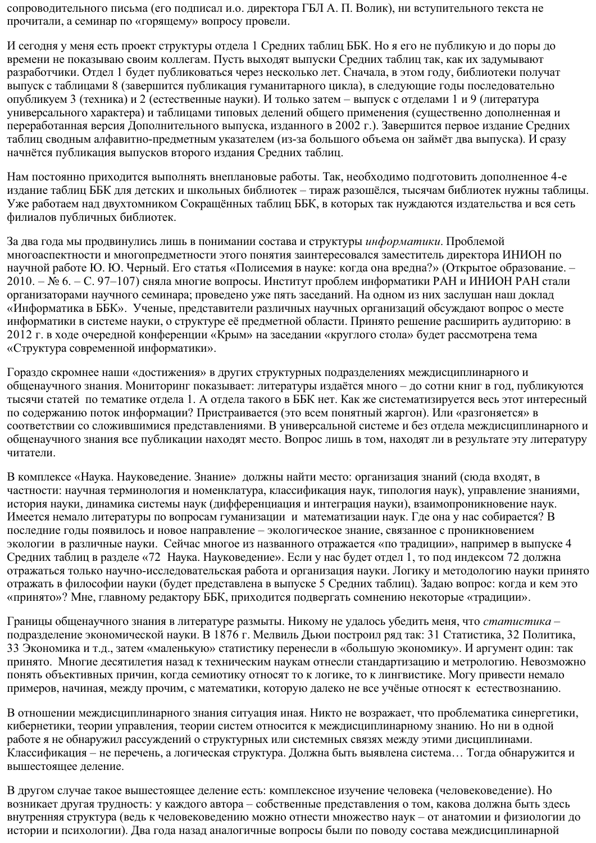сопроводительного письма (его подписал и.о. директора ГБЛ А. П. Волик), ни вступительного текста не прочитали, а семинар по «горящему» вопросу провели.

И сегодня у меня есть проект структуры отдела 1 Средних таблиц ББК. Но я его не публикую и до поры до времени не показываю своим коллегам. Пусть выходят выпуски Средних таблиц так, как их задумывают разработчики. Отдел 1 будет публиковаться через несколько лет. Сначала, в этом году, библиотеки получат выпуск с таблицами 8 (завершится публикация гуманитарного цикла), в следующие годы последовательно опубликуем 3 (техника) и 2 (естественные науки). И только затем – выпуск с отделами 1 и 9 (литература универсального характера) и таблицами типовых делений общего применения (существенно дополненная и переработанная версия Дополнительного выпуска, изданного в 2002 г.). Завершится первое издание Средних таблиц сводным алфавитно-предметным указателем (из-за большого объема он займёт два выпуска). И сразу начнётся публикация выпусков второго издания Средних таблиц.

Нам постоянно приходится выполнять внеплановые работы. Так, необходимо подготовить дополненное 4-е издание таблиц ББК для детских и школьных библиотек - тираж разошёлся, тысячам библиотек нужны таблицы. Уже работаем над двухтомником Сокращённых таблиц ББК, в которых так нуждаются издательства и вся сеть филиалов публичных библиотек.

За два года мы продвинулись лишь в понимании состава и структуры *информатики*. Проблемой многоаспектности и многопредметности этого понятия заинтересовался заместитель директора ИНИОН по научной работе Ю. Ю. Черный. Его статья «Полисемия в науке: когда она вредна?» (Открытое образование. -2010. – № 6. – С. 97–107) сняла многие вопросы. Институт проблем информатики РАН и ИНИОН РАН стали организаторами научного семинара; проведено уже пять заседаний. На одном из них заслушан наш доклад «Информатика в ББК». Ученые, представители различных научных организаций обсуждают вопрос о месте информатики в системе науки, о структуре её предметной области. Принято решение расширить аудиторию: в 2012 г. в ходе очередной конференции «Крым» на заседании «круглого стола» будет рассмотрена тема «Структура современной информатики».

Гораздо скромнее наши «достижения» в других структурных подразделениях междисциплинарного и общенаучного знания. Мониторинг показывает: литературы издаётся много – до сотни книг в год, публикуются тысячи статей по тематике отдела 1. А отдела такого в ББК нет. Как же систематизируется весь этот интересный по содержанию поток информации? Пристраивается (это всем понятный жаргон). Или «разгоняется» в соответствии со сложившимися представлениями. В универсальной системе и без отдела междисциплинарного и общенаучного знания все публикации находят место. Вопрос лишь в том, находят ли в результате эту литературу читатели.

В комплексе «Наука. Науковедение. Знание» должны найти место: организация знаний (сюда входят, в частности: научная терминология и номенклатура, классификация наук, типология наук), управление знаниями, история науки, динамика системы наук (дифференциация и интеграция науки), взаимопроникновение наук. Имеется немало литературы по вопросам гуманизации и математизации наук. Где она у нас собирается? В последние годы появилось и новое направление - экологическое знание, связанное с проникновением экологии в различные науки. Сейчас многое из названного отражается «по традиции», например в выпуске 4 Средних таблиц в разделе «72 Наука. Науковедение». Если у нас будет отдел 1, то под индексом 72 должна отражаться только научно-исследовательская работа и организация науки. Логику и методологию науки принято отражать в философии науки (будет представлена в выпуске 5 Средних таблиц). Задаю вопрос: когда и кем это «принято»? Мне, главному редактору ББК, приходится подвергать сомнению некоторые «традиции».

Границы общенаучного знания в литературе размыты. Никому не удалось убедить меня, что статистика подразделение экономической науки. В 1876 г. Мелвиль Дьюи построил ряд так: 31 Статистика, 32 Политика, 33 Экономика и т.д., затем «маленькую» статистику перенесли в «большую экономику». И аргумент один: так принято. Многие десятилетия назад к техническим наукам отнесли стандартизацию и метрологию. Невозможно понять объективных причин, когда семиотику относят то к логике, то к лингвистике. Могу привести немало примеров, начиная, между прочим, с математики, которую далеко не все учёные относят к естествознанию.

В отношении междисциплинарного знания ситуация иная. Никто не возражает, что проблематика синергетики, кибернетики, теории управления, теории систем относится к междисциплинарному знанию. Но ни в одной работе я не обнаружил рассуждений о структурных или системных связях между этими дисциплинами. Классификация – не перечень, а логическая структура. Должна быть выявлена система... Тогда обнаружится и вышестоящее деление.

В другом случае такое вышестоящее деление есть: комплексное изучение человека (человековедение). Но возникает другая трудность: у каждого автора - собственные представления о том, какова должна быть здесь внутренняя структура (ведь к человековедению можно отнести множество наук - от анатомии и физиологии до истории и психологии). Два года назад аналогичные вопросы были по поводу состава междисциплинарной